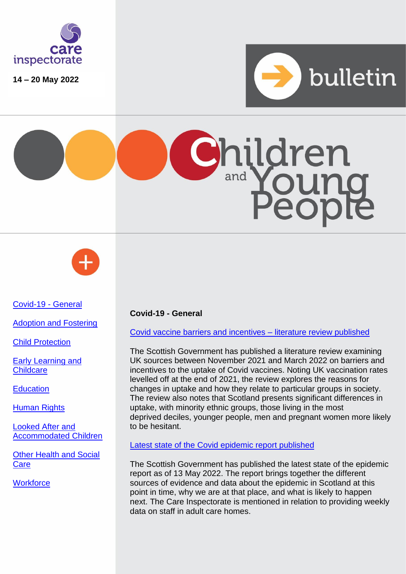

**14 – 20 May 2022**







[Covid-19 -](#page-0-0) General

[Adoption and Fostering](#page-1-0)

[Child Protection](#page-1-1)

[Early Learning](#page-1-2) and **[Childcare](#page-1-2)** 

**[Education](#page-1-3)** 

**[Human Rights](#page-2-0)** 

[Looked After and](#page-2-1)  [Accommodated Children](#page-2-1)

[Other Health and Social](#page-3-0)  **[Care](#page-3-0)** 

**[Workforce](#page-3-1)** 

## <span id="page-0-0"></span>**Covid-19 - General**

[Covid vaccine barriers and incentives –](https://www.gov.scot/publications/covid-19-vaccine-barriers-incentives-uptake-literature-review/) literature review published

The Scottish Government has published a literature review examining UK sources between November 2021 and March 2022 on barriers and incentives to the uptake of Covid vaccines. Noting UK vaccination rates levelled off at the end of 2021, the review explores the reasons for changes in uptake and how they relate to particular groups in society. The review also notes that Scotland presents significant differences in uptake, with minority ethnic groups, those living in the most deprived deciles, younger people, men and pregnant women more likely to be hesitant.

## [Latest state of the Covid](https://www.gov.scot/publications/coronavirus-covid-19-state-epidemic-13-2022/) epidemic report published

The Scottish Government has published the latest state of the epidemic report as of 13 May 2022. The report brings together the different sources of evidence and data about the epidemic in Scotland at this point in time, why we are at that place, and what is likely to happen next. The Care Inspectorate is mentioned in relation to providing weekly data on staff in adult care homes.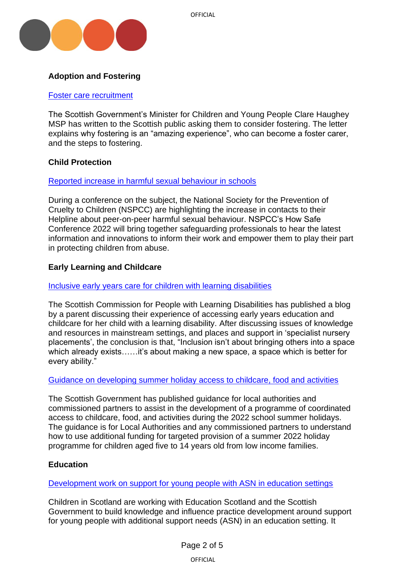

# <span id="page-1-0"></span>**Adoption and Fostering**

### [Foster care recruitment](https://www.gov.scot/publications/foster-care-recruitment-public-letter/)

The Scottish Government's Minister for Children and Young People Clare Haughey MSP has written to the Scottish public asking them to consider fostering. The letter explains why fostering is an "amazing experience", who can become a foster carer, and the steps to fostering.

## <span id="page-1-1"></span>**Child Protection**

## [Reported increase in harmful sexual behaviour in schools](https://www.nspcc.org.uk/about-us/news-opinion/2022/how-safe/)

During a conference on the subject, the National Society for the Prevention of Cruelty to Children (NSPCC) are highlighting the increase in contacts to their Helpline about peer-on-peer harmful sexual behaviour. NSPCC's How Safe Conference 2022 will bring together safeguarding professionals to hear the latest information and innovations to inform their work and empower them to play their part in protecting children from abuse.

## <span id="page-1-2"></span>**Early Learning and Childcare**

### [Inclusive early years care for children with learning disabilities](https://www.scld.org.uk/what-does-inclusive-early-years-care-look-like-a-parents-view/?cn-reloaded=1)

The Scottish Commission for People with Learning Disabilities has published a blog by a parent discussing their experience of accessing early years education and childcare for her child with a learning disability. After discussing issues of knowledge and resources in mainstream settings, and places and support in 'specialist nursery placements', the conclusion is that, "Inclusion isn't about bringing others into a space which already exists……it's about making a new space, a space which is better for every ability."

#### [Guidance on developing summer holiday access to childcare, food and activities](https://www.gov.scot/publications/summer-holiday-food-activities-childcare-programme-guidance-local-authorities/)

The Scottish Government has published guidance for local authorities and commissioned partners to assist in the development of a programme of coordinated access to childcare, food, and activities during the 2022 school summer holidays. The guidance is for Local Authorities and any commissioned partners to understand how to use additional funding for targeted provision of a summer 2022 holiday programme for children aged five to 14 years old from low income families.

## <span id="page-1-3"></span>**Education**

## [Development work on support for young people with ASN in education settings](https://childreninscotland.org.uk/new-project-to-better-understand-what-pupil-support-in-scotland-should-look-like/)

Children in Scotland are working with Education Scotland and the Scottish Government to build knowledge and influence practice development around support for young people with additional support needs (ASN) in an education setting. It

OFFICIAL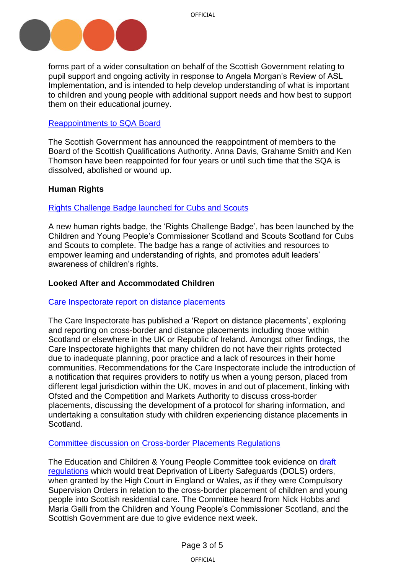

forms part of a wider consultation on behalf of the Scottish Government relating to pupil support and ongoing activity in response to Angela Morgan's Review of ASL Implementation, and is intended to help develop understanding of what is important to children and young people with additional support needs and how best to support them on their educational journey.

## [Reappointments to SQA Board](https://www.gov.scot/publications/public-appointment-members-reappointed-to-scottish-qualifications-authority-board/)

The Scottish Government has announced the reappointment of members to the Board of the Scottish Qualifications Authority. Anna Davis, Grahame Smith and Ken Thomson have been reappointed for four years or until such time that the SQA is dissolved, abolished or wound up.

## <span id="page-2-0"></span>**Human Rights**

### [Rights Challenge Badge launched for Cubs and Scouts](https://www.cypcs.org.uk/news-and-stories/scouts-scotland-and-childrens-commissioner-launch-new-human-rights-badge/)

A new human rights badge, the 'Rights Challenge Badge', has been launched by the Children and Young People's Commissioner Scotland and Scouts Scotland for Cubs and Scouts to complete. The badge has a range of activities and resources to empower learning and understanding of rights, and promotes adult leaders' awareness of children's rights.

### <span id="page-2-1"></span>**Looked After and Accommodated Children**

#### [Care Inspectorate report](https://www.careinspectorate.com/images/documents/6670/Distance%20placements%20exploration%20report%202022.pdf) on distance placements

The Care Inspectorate has published a 'Report on distance placements', exploring and reporting on cross-border and distance placements including those within Scotland or elsewhere in the UK or Republic of Ireland. Amongst other findings, the Care Inspectorate highlights that many children do not have their rights protected due to inadequate planning, poor practice and a lack of resources in their home communities. Recommendations for the Care Inspectorate include the introduction of a notification that requires providers to notify us when a young person, placed from different legal jurisdiction within the UK, moves in and out of placement, linking with Ofsted and the Competition and Markets Authority to discuss cross-border placements, discussing the development of a protocol for sharing information, and undertaking a consultation study with children experiencing distance placements in Scotland.

#### [Committee discussion on Cross-border Placements Regulations](https://www.scottishparliament.tv/meeting/education-children-and-young-people-committee-may-18-2022)

The Education and Children & Young People Committee took evidence on draft [regulations](https://www.legislation.gov.uk/sdsi/2022/9780111054482) which would treat Deprivation of Liberty Safeguards (DOLS) orders, when granted by the High Court in England or Wales, as if they were Compulsory Supervision Orders in relation to the cross-border placement of children and young people into Scottish residential care. The Committee heard from Nick Hobbs and Maria Galli from the Children and Young People's Commissioner Scotland, and the Scottish Government are due to give evidence next week.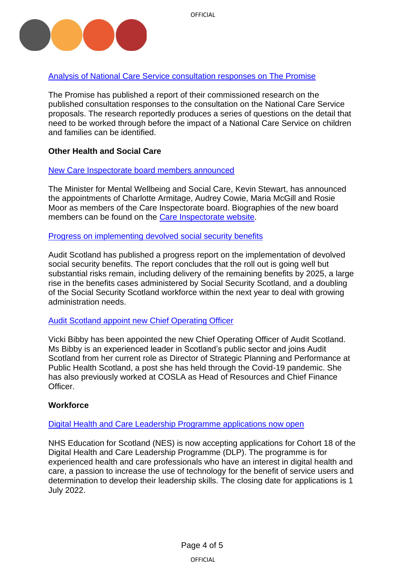



# [Analysis of National Care Service consultation responses on The Promise](https://thepromise.scot/news/2022/05/19/national-care-service-consultation-analysis/)

The Promise has published a report of their commissioned research on the published consultation responses to the consultation on the National Care Service proposals. The research reportedly produces a series of questions on the detail that need to be worked through before the impact of a National Care Service on children and families can be identified.

# <span id="page-3-0"></span>**Other Health and Social Care**

## [New Care Inspectorate board members announced](https://www.careinspectorate.com/index.php/news/6675-new-board-members-announced)

The Minister for Mental Wellbeing and Social Care, Kevin Stewart, has announced the appointments of Charlotte Armitage, Audrey Cowie, Maria McGill and Rosie Moor as members of the Care Inspectorate board. Biographies of the new board members can be found on the [Care Inspectorate website.](https://www.careinspectorate.com/index.php/our-board)

## [Progress on implementing devolved social security benefits](https://www.audit-scotland.gov.uk/news/scottish-benefits-roll-out-successful-but-challenges-remain)

Audit Scotland has published a progress report on the implementation of devolved social security benefits. The report concludes that the roll out is going well but substantial risks remain, including delivery of the remaining benefits by 2025, a large rise in the benefits cases administered by Social Security Scotland, and a doubling of the Social Security Scotland workforce within the next year to deal with growing administration needs.

## [Audit Scotland appoint new Chief Operating Officer](https://www.audit-scotland.gov.uk/news/vicki-bibby-appointed-new-chief-operating-officer)

Vicki Bibby has been appointed the new Chief Operating Officer of Audit Scotland. Ms Bibby is an experienced leader in Scotland's public sector and joins Audit Scotland from her current role as Director of Strategic Planning and Performance at Public Health Scotland, a post she has held through the Covid-19 pandemic. She has also previously worked at COSLA as Head of Resources and Chief Finance Officer.

## <span id="page-3-1"></span>**Workforce**

## [Digital Health and Care Leadership Programme](https://learn.nes.nhs.scot/52828/digital-health-and-care-leadership-programme-dlp/dlp-recruitment?gator_td=qjXBH%2b8Xntz49XPqB%2f2d6m5tUBFrbigvxH03fnLMv2Ij1ts2AMMR0fD1ZZz1kdPi4zBCKdpyt3Lyk%2bMZqJHfTr6g9wanZH%2b3Z0fWI%2fa7xwFHbZxyjEoc8zeCrbDOIvnaM6GeAKlJyiKWVr1wd96wfGHHbX6fOiwyrV%2bEEuHRMIdC%2fcClXMxvOrvV5lnD09W23GkrhaAgq5bBa6a%2fAEZ9pRuJBX2bWEXuBtv8XgylN%2bnSZb%2bFYsRUaQe%2bNuyl9Min) applications now open

NHS Education for Scotland (NES) is now accepting applications for Cohort 18 of the Digital Health and Care Leadership Programme (DLP). The programme is for experienced health and care professionals who have an interest in digital health and care, a passion to increase the use of technology for the benefit of service users and determination to develop their leadership skills. The closing date for applications is 1 July 2022.